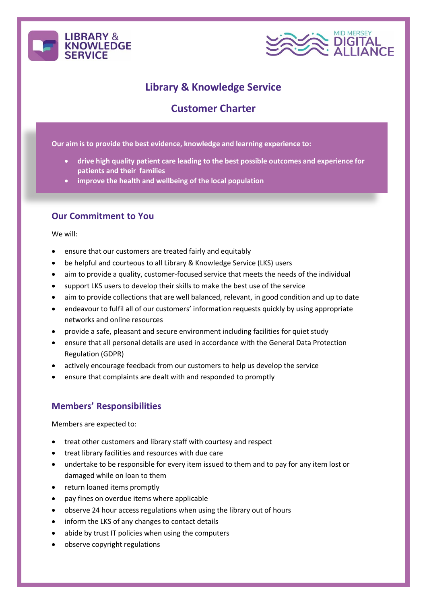



# **Library & Knowledge Service**

## **Customer Charter**

**Our aim is to provide the best evidence, knowledge and learning experience to:**

- **drive high quality patient care leading to the best possible outcomes and experience for patients and their families**
- **improve the health and wellbeing of the local population**

#### **Our Commitment to You**

We will:

- ensure that our customers are treated fairly and equitably
- be helpful and courteous to all Library & Knowledge Service (LKS) users
- aim to provide a quality, customer-focused service that meets the needs of the individual
- support LKS users to develop their skills to make the best use of the service
- aim to provide collections that are well balanced, relevant, in good condition and up to date
- endeavour to fulfil all of our customers' information requests quickly by using appropriate networks and online resources
- provide a safe, pleasant and secure environment including facilities for quiet study
- ensure that all personal details are used in accordance with the General Data Protection Regulation (GDPR)
- actively encourage feedback from our customers to help us develop the service
- ensure that complaints are dealt with and responded to promptly

### **Members' Responsibilities**

Members are expected to:

- treat other customers and library staff with courtesy and respect
- treat library facilities and resources with due care
- undertake to be responsible for every item issued to them and to pay for any item lost or damaged while on loan to them
- return loaned items promptly
- pay fines on overdue items where applicable
- observe 24 hour access regulations when using the library out of hours
- inform the LKS of any changes to contact details
- abide by trust IT policies when using the computers
- observe copyright regulations